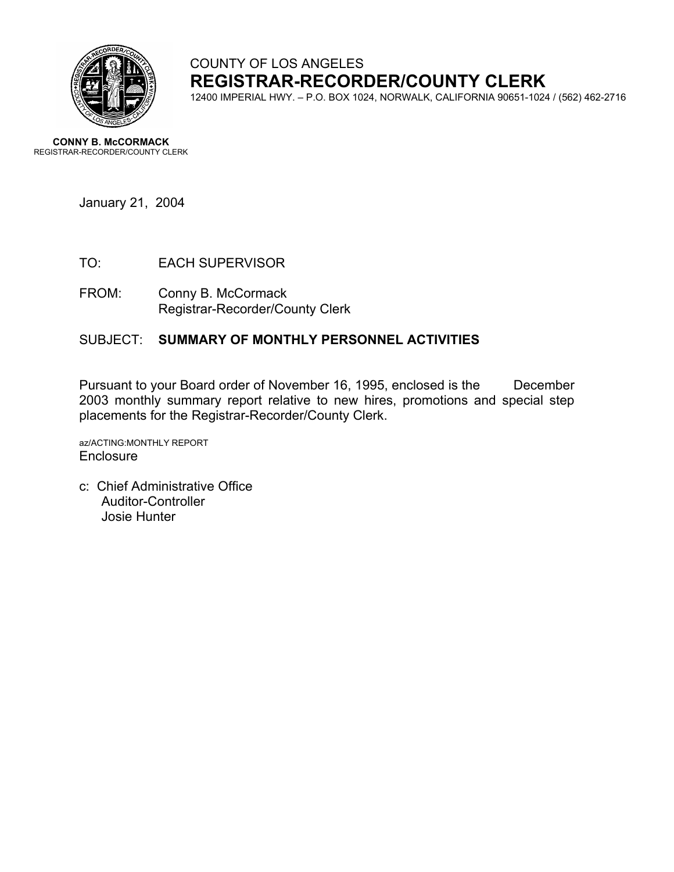

# COUNTY OF LOS ANGELES **REGISTRAR-RECORDER/COUNTY CLERK**

12400 IMPERIAL HWY. – P.O. BOX 1024, NORWALK, CALIFORNIA 90651-1024 / (562) 462-2716

**CONNY B. McCORMACK** REGISTRAR-RECORDER/COUNTY CLERK

January 21, 2004

- TO: EACH SUPERVISOR
- FROM: Conny B. McCormack Registrar-Recorder/County Clerk

#### SUBJECT: **SUMMARY OF MONTHLY PERSONNEL ACTIVITIES**

Pursuant to your Board order of November 16, 1995, enclosed is the December 2003 monthly summary report relative to new hires, promotions and special step placements for the Registrar-Recorder/County Clerk.

az/ACTING:MONTHLY REPORT **Enclosure** 

c: Chief Administrative Office Auditor-Controller Josie Hunter